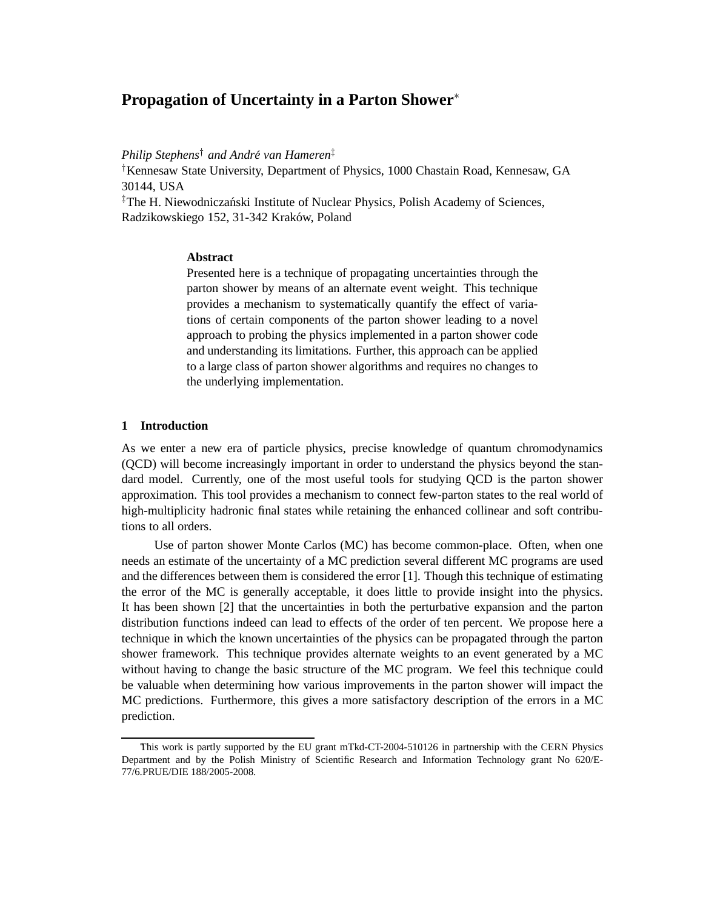# **Propagation of Uncertainty in a Parton Shower**<sup>∗</sup>

*Philip Stephens*† *and Andre van Hameren ´* ‡

†Kennesaw State University, Department of Physics, 1000 Chastain Road, Kennesaw, GA 30144, USA

<sup>‡</sup>The H. Niewodniczański Institute of Nuclear Physics, Polish Academy of Sciences, Radzikowskiego 152, 31-342 Kraków, Poland

# **Abstract**

Presented here is a technique of propagating uncertainties through the parton shower by means of an alternate event weight. This technique provides a mechanism to systematically quantify the effect of variations of certain components of the parton shower leading to a novel approach to probing the physics implemented in a parton shower code and understanding its limitations. Further, this approach can be applied to a large class of parton shower algorithms and requires no changes to the underlying implementation.

## **1 Introduction**

As we enter a new era of particle physics, precise knowledge of quantum chromodynamics (QCD) will become increasingly important in order to understand the physics beyond the standard model. Currently, one of the most useful tools for studying QCD is the parton shower approximation. This tool provides a mechanism to connect few-parton states to the real world of high-multiplicity hadronic final states while retaining the enhanced collinear and soft contributions to all orders.

Use of parton shower Monte Carlos (MC) has become common-place. Often, when one needs an estimate of the uncertainty of a MC prediction several different MC programs are used and the differences between them is considered the error [1]. Though this technique of estimating the error of the MC is generally acceptable, it does little to provide insight into the physics. It has been shown [2] that the uncertainties in both the perturbative expansion and the parton distribution functions indeed can lead to effects of the order of ten percent. We propose here a technique in which the known uncertainties of the physics can be propagated through the parton shower framework. This technique provides alternate weights to an event generated by a MC without having to change the basic structure of the MC program. We feel this technique could be valuable when determining how various improvements in the parton shower will impact the MC predictions. Furthermore, this gives a more satisfactory description of the errors in a MC prediction.

This work is partly supported by the EU grant mTkd-CT-2004-510126 in partnership with the CERN Physics Department and by the Polish Ministry of Scientific Research and Information Technology grant No 620/E-77/6.PRUE/DIE 188/2005-2008.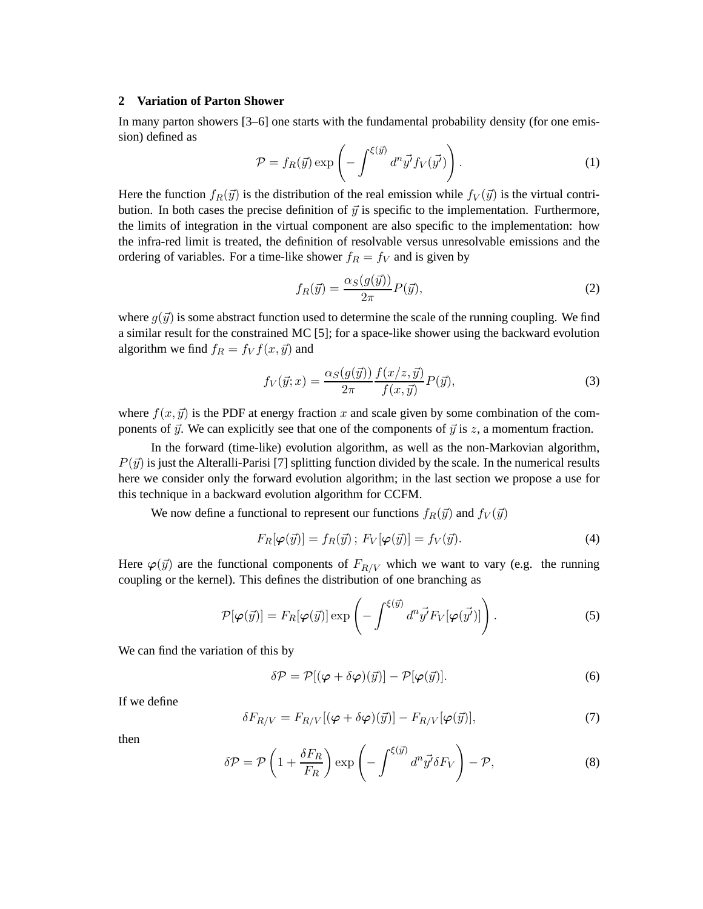# **2 Variation of Parton Shower**

In many parton showers [3–6] one starts with the fundamental probability density (for one emission) defined as

$$
\mathcal{P} = f_R(\vec{y}) \exp\left(-\int^{\xi(\vec{y})} d^n \vec{y'} f_V(\vec{y'})\right). \tag{1}
$$

Here the function  $f_R(\vec{y})$  is the distribution of the real emission while  $f_V(\vec{y})$  is the virtual contribution. In both cases the precise definition of  $\vec{y}$  is specific to the implementation. Furthermore, the limits of integration in the virtual component are also specific to the implementation: how the infra-red limit is treated, the definition of resolvable versus unresolvable emissions and the ordering of variables. For a time-like shower  $f_R = f_V$  and is given by

$$
f_R(\vec{y}) = \frac{\alpha_S(g(\vec{y}))}{2\pi} P(\vec{y}),
$$
\n(2)

where  $g(\vec{y})$  is some abstract function used to determine the scale of the running coupling. We find a similar result for the constrained MC [5]; for a space-like shower using the backward evolution algorithm we find  $f_R = f_V f(x, \vec{y})$  and

$$
f_V(\vec{y};x) = \frac{\alpha_S(g(\vec{y}))}{2\pi} \frac{f(x/z, \vec{y})}{f(x, \vec{y})} P(\vec{y}),\tag{3}
$$

where  $f(x, \vec{y})$  is the PDF at energy fraction x and scale given by some combination of the components of  $\vec{y}$ . We can explicitly see that one of the components of  $\vec{y}$  is z, a momentum fraction.

In the forward (time-like) evolution algorithm, as well as the non-Markovian algorithm,  $P(\vec{y})$  is just the Alteralli-Parisi [7] splitting function divided by the scale. In the numerical results here we consider only the forward evolution algorithm; in the last section we propose a use for this technique in a backward evolution algorithm for CCFM.

We now define a functional to represent our functions  $f_R(\vec{y})$  and  $f_V(\vec{y})$ 

$$
F_R[\varphi(\vec{y})] = f_R(\vec{y}); \ F_V[\varphi(\vec{y})] = f_V(\vec{y}). \tag{4}
$$

Here  $\varphi(\vec{y})$  are the functional components of  $F_{R/V}$  which we want to vary (e.g. the running coupling or the kernel). This defines the distribution of one branching as

$$
\mathcal{P}[\varphi(\vec{y})] = F_R[\varphi(\vec{y})] \exp\left(-\int^{\xi(\vec{y})} d^n \vec{y'} F_V[\varphi(\vec{y'})]\right). \tag{5}
$$

We can find the variation of this by

$$
\delta \mathcal{P} = \mathcal{P}[(\varphi + \delta \varphi)(\vec{y})] - \mathcal{P}[\varphi(\vec{y})]. \tag{6}
$$

If we define

$$
\delta F_{R/V} = F_{R/V} [(\varphi + \delta \varphi)(\vec{y})] - F_{R/V} [\varphi(\vec{y})], \tag{7}
$$

then

$$
\delta \mathcal{P} = \mathcal{P} \left( 1 + \frac{\delta F_R}{F_R} \right) \exp \left( - \int^{\xi(\vec{y})} d^n \vec{y'} \delta F_V \right) - \mathcal{P}, \tag{8}
$$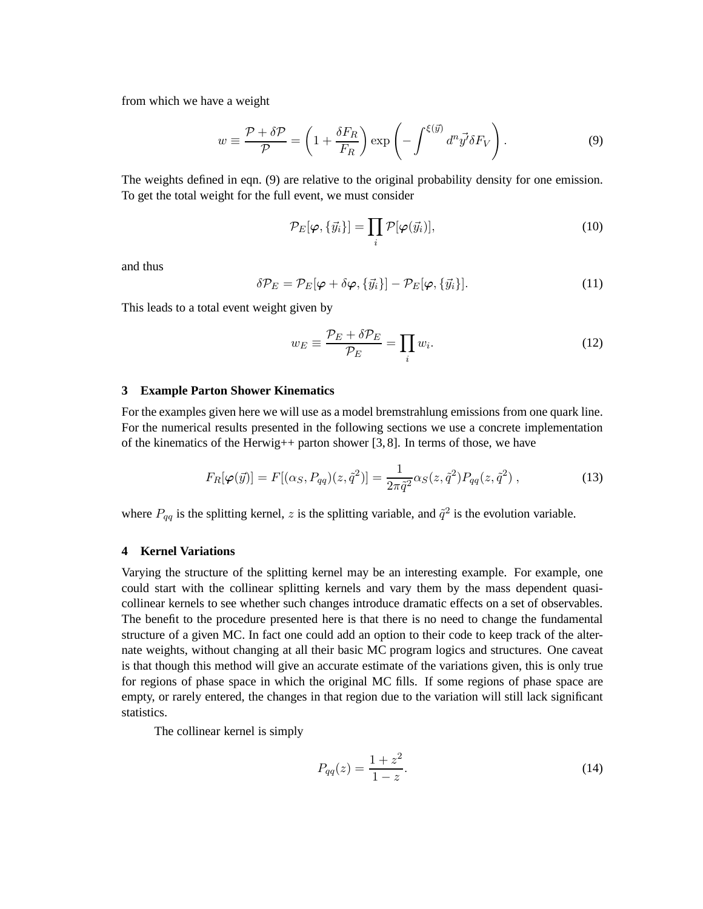from which we have a weight

$$
w \equiv \frac{\mathcal{P} + \delta \mathcal{P}}{\mathcal{P}} = \left(1 + \frac{\delta F_R}{F_R}\right) \exp\left(-\int^{\xi(\vec{y})} d^n \vec{y'} \delta F_V\right). \tag{9}
$$

The weights defined in eqn. (9) are relative to the original probability density for one emission. To get the total weight for the full event, we must consider

$$
\mathcal{P}_E[\varphi, \{\vec{y}_i\}] = \prod_i \mathcal{P}[\varphi(\vec{y}_i)],\tag{10}
$$

and thus

$$
\delta \mathcal{P}_E = \mathcal{P}_E[\varphi + \delta \varphi, \{\vec{y}_i\}] - \mathcal{P}_E[\varphi, \{\vec{y}_i\}]. \tag{11}
$$

This leads to a total event weight given by

$$
w_E \equiv \frac{\mathcal{P}_E + \delta \mathcal{P}_E}{\mathcal{P}_E} = \prod_i w_i.
$$
 (12)

## **3 Example Parton Shower Kinematics**

For the examples given here we will use as a model bremstrahlung emissions from one quark line. For the numerical results presented in the following sections we use a concrete implementation of the kinematics of the Herwig++ parton shower [3, 8]. In terms of those, we have

$$
F_R[\varphi(\vec{y})] = F[(\alpha_S, P_{qq})(z, \tilde{q}^2)] = \frac{1}{2\pi \tilde{q}^2} \alpha_S(z, \tilde{q}^2) P_{qq}(z, \tilde{q}^2) ,
$$
\n(13)

where  $P_{qq}$  is the splitting kernel, z is the splitting variable, and  $\tilde{q}^2$  is the evolution variable.

## **4 Kernel Variations**

Varying the structure of the splitting kernel may be an interesting example. For example, one could start with the collinear splitting kernels and vary them by the mass dependent quasicollinear kernels to see whether such changes introduce dramatic effects on a set of observables. The benefit to the procedure presented here is that there is no need to change the fundamental structure of a given MC. In fact one could add an option to their code to keep track of the alternate weights, without changing at all their basic MC program logics and structures. One caveat is that though this method will give an accurate estimate of the variations given, this is only true for regions of phase space in which the original MC fills. If some regions of phase space are empty, or rarely entered, the changes in that region due to the variation will still lack significant statistics.

The collinear kernel is simply

$$
P_{qq}(z) = \frac{1+z^2}{1-z}.
$$
\n(14)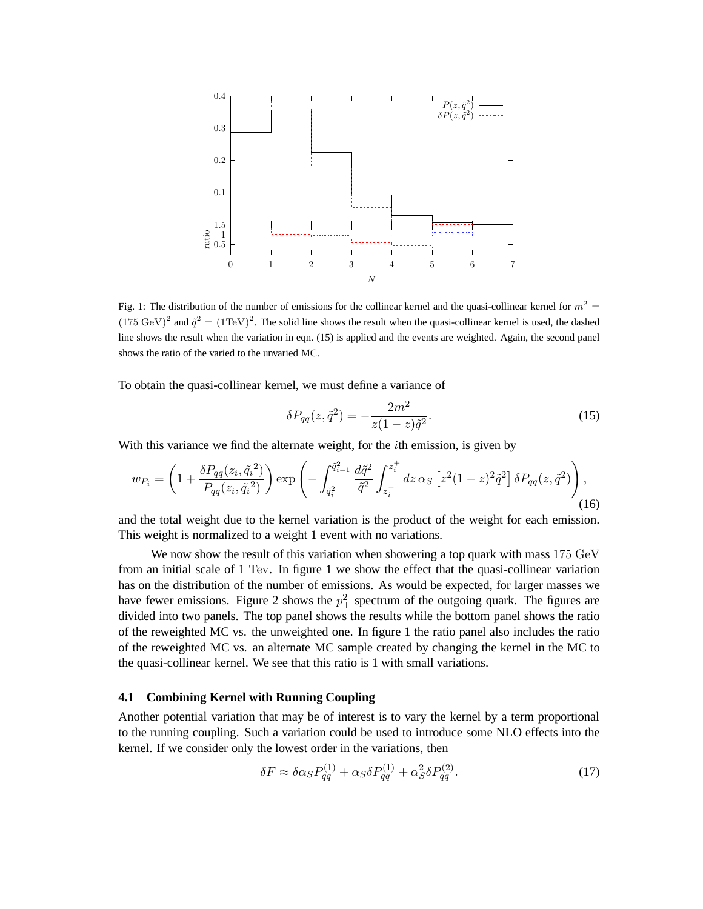

Fig. 1: The distribution of the number of emissions for the collinear kernel and the quasi-collinear kernel for  $m^2 =$  $(175 \text{ GeV})^2$  and  $\tilde{q}^2 = (1 \text{TeV})^2$ . The solid line shows the result when the quasi-collinear kernel is used, the dashed line shows the result when the variation in eqn. (15) is applied and the events are weighted. Again, the second panel shows the ratio of the varied to the unvaried MC.

To obtain the quasi-collinear kernel, we must define a variance of

$$
\delta P_{qq}(z, \tilde{q}^2) = -\frac{2m^2}{z(1-z)\tilde{q}^2}.
$$
\n(15)

With this variance we find the alternate weight, for the *i*th emission, is given by

$$
w_{P_i} = \left(1 + \frac{\delta P_{qq}(z_i, \tilde{q}_i^2)}{P_{qq}(z_i, \tilde{q}_i^2)}\right) \exp\left(-\int_{\tilde{q}_i^2}^{\tilde{q}_{i-1}^2} \frac{d\tilde{q}^2}{\tilde{q}^2} \int_{z_i^-}^{z_i^+} dz \, \alpha_S \left[z^2 (1-z)^2 \tilde{q}^2\right] \delta P_{qq}(z, \tilde{q}^2)\right),\tag{16}
$$

and the total weight due to the kernel variation is the product of the weight for each emission. This weight is normalized to a weight 1 event with no variations.

We now show the result of this variation when showering a top quark with mass 175 GeV from an initial scale of 1 Tev. In figure 1 we show the effect that the quasi-collinear variation has on the distribution of the number of emissions. As would be expected, for larger masses we have fewer emissions. Figure 2 shows the  $p_{\perp}^2$  spectrum of the outgoing quark. The figures are divided into two panels. The top panel shows the results while the bottom panel shows the ratio of the reweighted MC vs. the unweighted one. In figure 1 the ratio panel also includes the ratio of the reweighted MC vs. an alternate MC sample created by changing the kernel in the MC to the quasi-collinear kernel. We see that this ratio is 1 with small variations.

# **4.1 Combining Kernel with Running Coupling**

Another potential variation that may be of interest is to vary the kernel by a term proportional to the running coupling. Such a variation could be used to introduce some NLO effects into the kernel. If we consider only the lowest order in the variations, then

$$
\delta F \approx \delta \alpha_S P_{qq}^{(1)} + \alpha_S \delta P_{qq}^{(1)} + \alpha_S^2 \delta P_{qq}^{(2)}.
$$
 (17)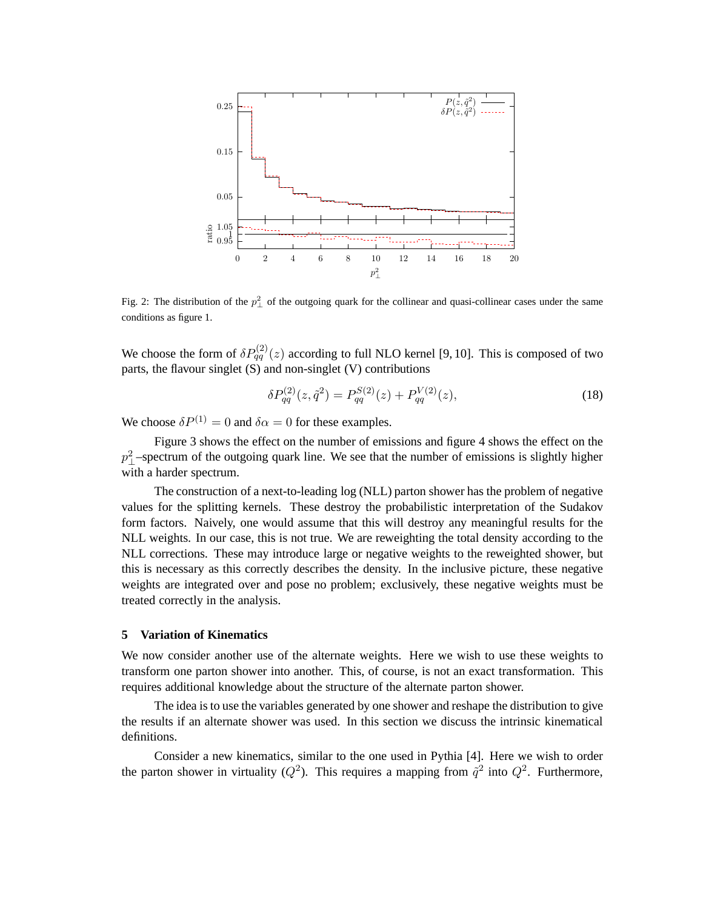

Fig. 2: The distribution of the  $p_{\perp}^2$  of the outgoing quark for the collinear and quasi-collinear cases under the same conditions as figure 1.

We choose the form of  $\delta P_{qq}^{(2)}(z)$  according to full NLO kernel [9, 10]. This is composed of two parts, the flavour singlet (S) and non-singlet (V) contributions

$$
\delta P_{qq}^{(2)}(z, \tilde{q}^2) = P_{qq}^{S(2)}(z) + P_{qq}^{V(2)}(z),\tag{18}
$$

We choose  $\delta P^{(1)} = 0$  and  $\delta \alpha = 0$  for these examples.

Figure 3 shows the effect on the number of emissions and figure 4 shows the effect on the  $p_{\perp}^2$ -spectrum of the outgoing quark line. We see that the number of emissions is slightly higher with a harder spectrum.

The construction of a next-to-leading log (NLL) parton shower has the problem of negative values for the splitting kernels. These destroy the probabilistic interpretation of the Sudakov form factors. Naively, one would assume that this will destroy any meaningful results for the NLL weights. In our case, this is not true. We are reweighting the total density according to the NLL corrections. These may introduce large or negative weights to the reweighted shower, but this is necessary as this correctly describes the density. In the inclusive picture, these negative weights are integrated over and pose no problem; exclusively, these negative weights must be treated correctly in the analysis.

## **5 Variation of Kinematics**

We now consider another use of the alternate weights. Here we wish to use these weights to transform one parton shower into another. This, of course, is not an exact transformation. This requires additional knowledge about the structure of the alternate parton shower.

The idea is to use the variables generated by one shower and reshape the distribution to give the results if an alternate shower was used. In this section we discuss the intrinsic kinematical definitions.

Consider a new kinematics, similar to the one used in Pythia [4]. Here we wish to order the parton shower in virtuality ( $Q^2$ ). This requires a mapping from  $\tilde{q}^2$  into  $Q^2$ . Furthermore,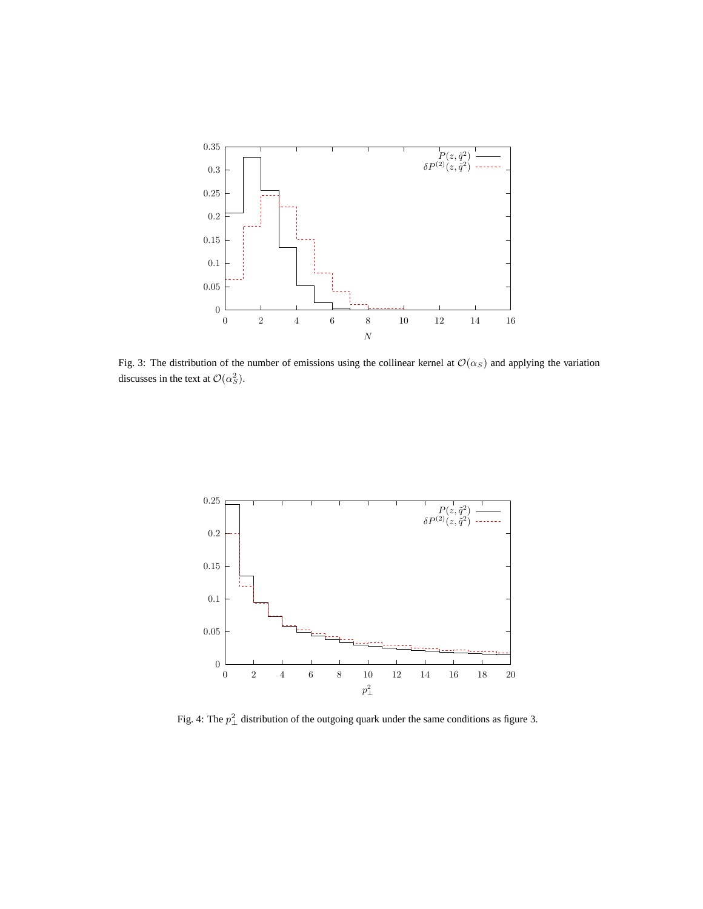

Fig. 3: The distribution of the number of emissions using the collinear kernel at  $\mathcal{O}(\alpha_S)$  and applying the variation discusses in the text at  $\mathcal{O}(\alpha_S^2)$ .



Fig. 4: The  $p_{\perp}^2$  distribution of the outgoing quark under the same conditions as figure 3.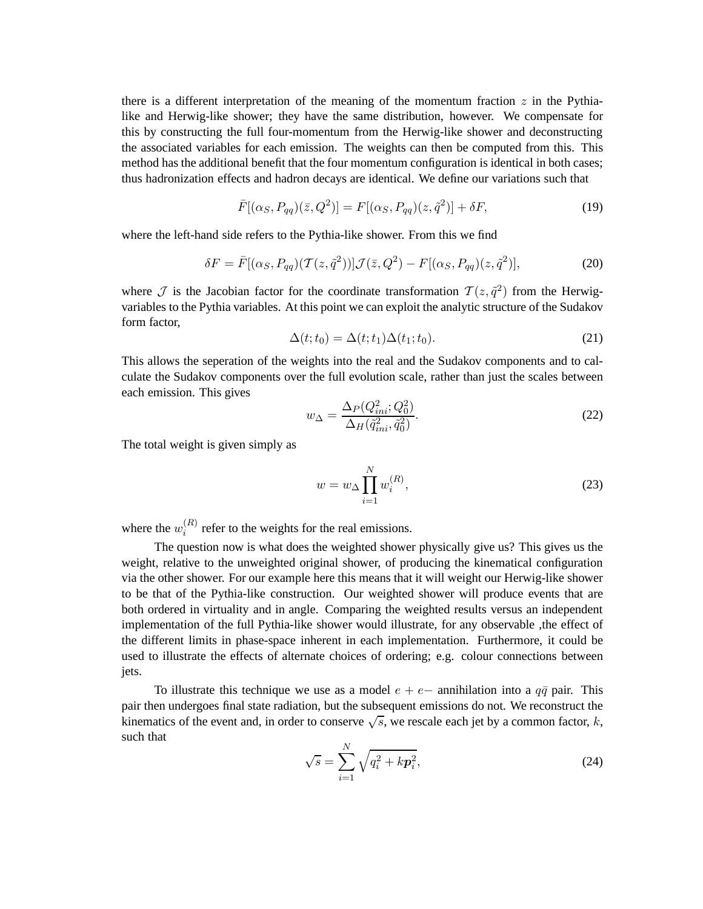there is a different interpretation of the meaning of the momentum fraction  $z$  in the Pythialike and Herwig-like shower; they have the same distribution, however. We compensate for this by constructing the full four-momentum from the Herwig-like shower and deconstructing the associated variables for each emission. The weights can then be computed from this. This method has the additional benefit that the four momentum configuration is identical in both cases; thus hadronization effects and hadron decays are identical. We define our variations such that

$$
\bar{F}[(\alpha_S, P_{qq})(\bar{z}, Q^2)] = F[(\alpha_S, P_{qq})(z, \tilde{q}^2)] + \delta F, \qquad (19)
$$

where the left-hand side refers to the Pythia-like shower. From this we find

$$
\delta F = \bar{F}[(\alpha_S, P_{qq})(\mathcal{T}(z, \tilde{q}^2))]\mathcal{J}(\bar{z}, Q^2) - F[(\alpha_S, P_{qq})(z, \tilde{q}^2)],\tag{20}
$$

where  $\mathcal I$  is the Jacobian factor for the coordinate transformation  $\mathcal T(z,\tilde q^2)$  from the Herwigvariables to the Pythia variables. At this point we can exploit the analytic structure of the Sudakov form factor,

$$
\Delta(t; t_0) = \Delta(t; t_1) \Delta(t_1; t_0).
$$
\n(21)

This allows the seperation of the weights into the real and the Sudakov components and to calculate the Sudakov components over the full evolution scale, rather than just the scales between each emission. This gives

$$
w_{\Delta} = \frac{\Delta_P(Q_{ini}^2; Q_0^2)}{\Delta_H(\tilde{q}_{ini}^2, \tilde{q}_0^2)}.
$$
\n(22)

The total weight is given simply as

$$
w = w_{\Delta} \prod_{i=1}^{N} w_i^{(R)},
$$
\n(23)

where the  $w_i^{(R)}$  $i^{(h)}$  refer to the weights for the real emissions.

The question now is what does the weighted shower physically give us? This gives us the weight, relative to the unweighted original shower, of producing the kinematical configuration via the other shower. For our example here this means that it will weight our Herwig-like shower to be that of the Pythia-like construction. Our weighted shower will produce events that are both ordered in virtuality and in angle. Comparing the weighted results versus an independent implementation of the full Pythia-like shower would illustrate, for any observable ,the effect of the different limits in phase-space inherent in each implementation. Furthermore, it could be used to illustrate the effects of alternate choices of ordering; e.g. colour connections between jets.

To illustrate this technique we use as a model  $e + e-$  annihilation into a  $q\bar{q}$  pair. This pair then undergoes final state radiation, but the subsequent emissions do not. We reconstruct the kinematics of the event and, in order to conserve  $\sqrt{s}$ , we rescale each jet by a common factor, k, such that

$$
\sqrt{s} = \sum_{i=1}^{N} \sqrt{q_i^2 + k p_i^2},
$$
\n(24)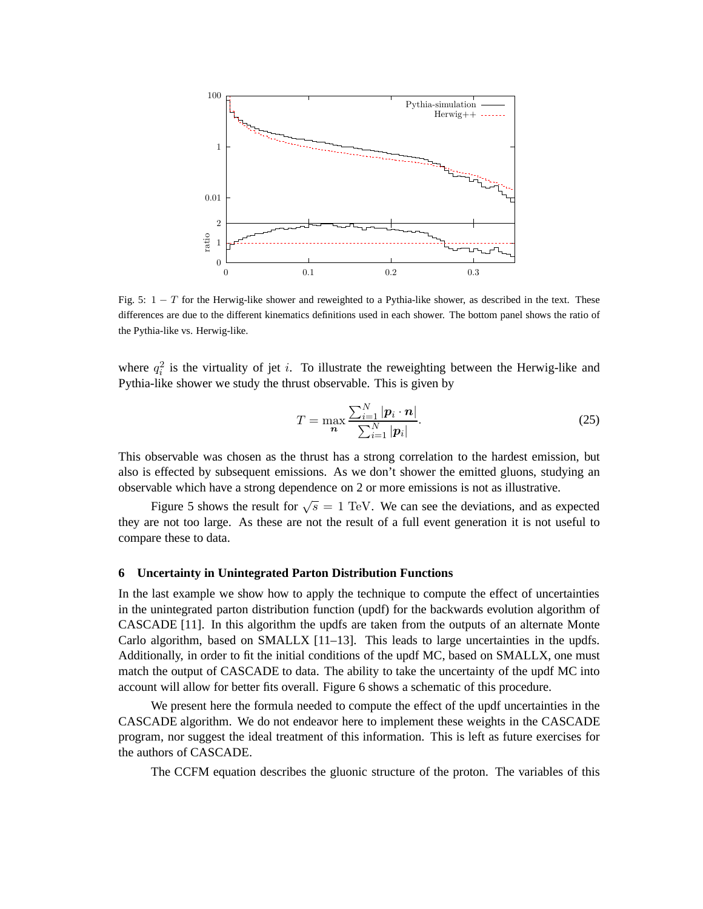

Fig. 5:  $1 - T$  for the Herwig-like shower and reweighted to a Pythia-like shower, as described in the text. These differences are due to the different kinematics definitions used in each shower. The bottom panel shows the ratio of the Pythia-like vs. Herwig-like.

where  $q_i^2$  is the virtuality of jet i. To illustrate the reweighting between the Herwig-like and Pythia-like shower we study the thrust observable. This is given by

$$
T = \max_{\mathbf{n}} \frac{\sum_{i=1}^{N} |\mathbf{p}_i \cdot \mathbf{n}|}{\sum_{i=1}^{N} |\mathbf{p}_i|}.
$$
 (25)

This observable was chosen as the thrust has a strong correlation to the hardest emission, but also is effected by subsequent emissions. As we don't shower the emitted gluons, studying an observable which have a strong dependence on 2 or more emissions is not as illustrative.

Figure 5 shows the result for  $\sqrt{s} = 1$  TeV. We can see the deviations, and as expected they are not too large. As these are not the result of a full event generation it is not useful to compare these to data.

#### **6 Uncertainty in Unintegrated Parton Distribution Functions**

In the last example we show how to apply the technique to compute the effect of uncertainties in the unintegrated parton distribution function (updf) for the backwards evolution algorithm of CASCADE [11]. In this algorithm the updfs are taken from the outputs of an alternate Monte Carlo algorithm, based on SMALLX [11–13]. This leads to large uncertainties in the updfs. Additionally, in order to fit the initial conditions of the updf MC, based on SMALLX, one must match the output of CASCADE to data. The ability to take the uncertainty of the updf MC into account will allow for better fits overall. Figure 6 shows a schematic of this procedure.

We present here the formula needed to compute the effect of the updf uncertainties in the CASCADE algorithm. We do not endeavor here to implement these weights in the CASCADE program, nor suggest the ideal treatment of this information. This is left as future exercises for the authors of CASCADE.

The CCFM equation describes the gluonic structure of the proton. The variables of this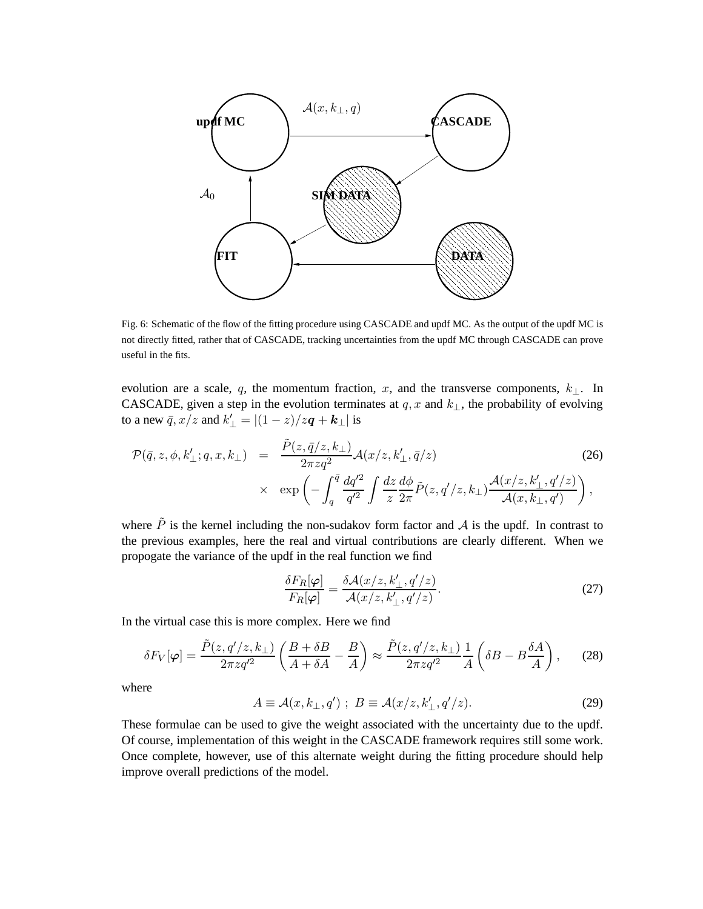

Fig. 6: Schematic of the flow of the fitting procedure using CASCADE and updf MC. As the output of the updf MC is not directly fitted, rather that of CASCADE, tracking uncertainties from the updf MC through CASCADE can prove useful in the fits.

evolution are a scale, q, the momentum fraction, x, and the transverse components,  $k_{\perp}$ . In CASCADE, given a step in the evolution terminates at  $q, x$  and  $k_{\perp}$ , the probability of evolving to a new  $\bar{q}$ ,  $x/z$  and  $k_{\perp}' = |(1-z)/z\boldsymbol{q} + \boldsymbol{k}_{\perp}|$  is

$$
\mathcal{P}(\bar{q}, z, \phi, k'_{\perp}; q, x, k_{\perp}) = \frac{\tilde{P}(z, \bar{q}/z, k_{\perp})}{2\pi z q^2} \mathcal{A}(x/z, k'_{\perp}, \bar{q}/z)
$$
(26)  
 
$$
\times \exp\left(-\int_q^{\bar{q}} \frac{dq'^2}{q'^2} \int \frac{dz}{z} \frac{d\phi}{2\pi} \tilde{P}(z, q'/z, k_{\perp}) \frac{\mathcal{A}(x/z, k'_{\perp}, q'/z)}{\mathcal{A}(x, k_{\perp}, q')} \right),
$$

where  $\tilde{P}$  is the kernel including the non-sudakov form factor and A is the updf. In contrast to the previous examples, here the real and virtual contributions are clearly different. When we propogate the variance of the updf in the real function we find

$$
\frac{\delta F_R[\varphi]}{F_R[\varphi]} = \frac{\delta \mathcal{A}(x/z, k'_{\perp}, q'/z)}{\mathcal{A}(x/z, k'_{\perp}, q'/z)}.
$$
\n(27)

In the virtual case this is more complex. Here we find

$$
\delta F_V[\varphi] = \frac{\tilde{P}(z, q'/z, k_\perp)}{2\pi z q'^2} \left( \frac{B + \delta B}{A + \delta A} - \frac{B}{A} \right) \approx \frac{\tilde{P}(z, q'/z, k_\perp)}{2\pi z q'^2} \frac{1}{A} \left( \delta B - B \frac{\delta A}{A} \right),\tag{28}
$$

where

$$
A \equiv \mathcal{A}(x, k_{\perp}, q') ; B \equiv \mathcal{A}(x/z, k'_{\perp}, q'/z). \tag{29}
$$

These formulae can be used to give the weight associated with the uncertainty due to the updf. Of course, implementation of this weight in the CASCADE framework requires still some work. Once complete, however, use of this alternate weight during the fitting procedure should help improve overall predictions of the model.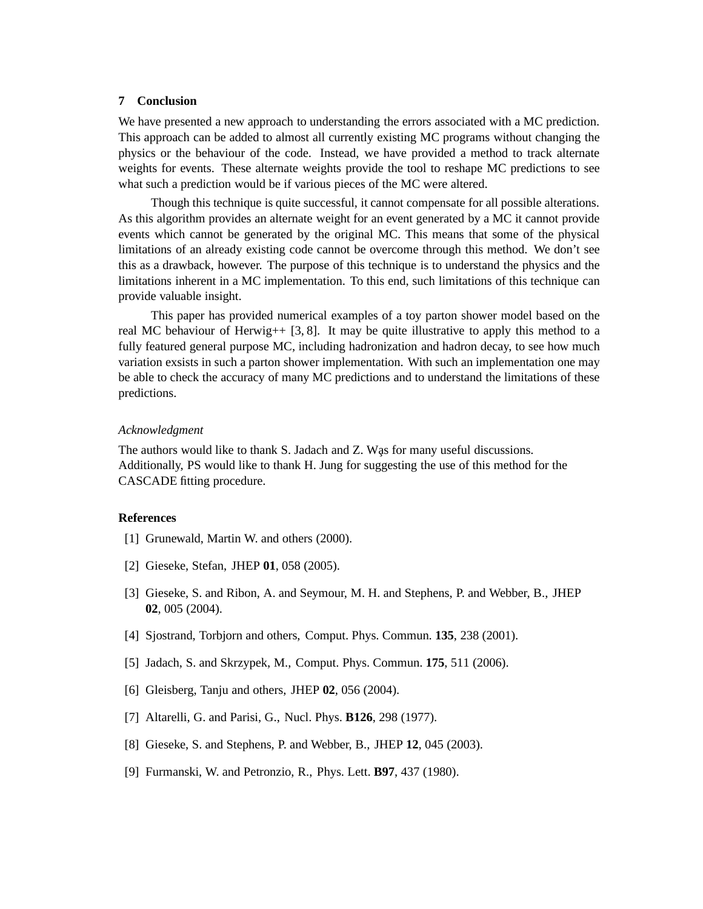# **7 Conclusion**

We have presented a new approach to understanding the errors associated with a MC prediction. This approach can be added to almost all currently existing MC programs without changing the physics or the behaviour of the code. Instead, we have provided a method to track alternate weights for events. These alternate weights provide the tool to reshape MC predictions to see what such a prediction would be if various pieces of the MC were altered.

Though this technique is quite successful, it cannot compensate for all possible alterations. As this algorithm provides an alternate weight for an event generated by a MC it cannot provide events which cannot be generated by the original MC. This means that some of the physical limitations of an already existing code cannot be overcome through this method. We don't see this as a drawback, however. The purpose of this technique is to understand the physics and the limitations inherent in a MC implementation. To this end, such limitations of this technique can provide valuable insight.

This paper has provided numerical examples of a toy parton shower model based on the real MC behaviour of Herwig++  $[3, 8]$ . It may be quite illustrative to apply this method to a fully featured general purpose MC, including hadronization and hadron decay, to see how much variation exsists in such a parton shower implementation. With such an implementation one may be able to check the accuracy of many MC predictions and to understand the limitations of these predictions.

## *Acknowledgment*

The authors would like to thank S. Jadach and Z. Was for many useful discussions. Additionally, PS would like to thank H. Jung for suggesting the use of this method for the CASCADE fitting procedure.

# **References**

- [1] Grunewald, Martin W. and others (2000).
- [2] Gieseke, Stefan, JHEP **01**, 058 (2005).
- [3] Gieseke, S. and Ribon, A. and Seymour, M. H. and Stephens, P. and Webber, B., JHEP **02**, 005 (2004).
- [4] Sjostrand, Torbjorn and others, Comput. Phys. Commun. **135**, 238 (2001).
- [5] Jadach, S. and Skrzypek, M., Comput. Phys. Commun. **175**, 511 (2006).
- [6] Gleisberg, Tanju and others, JHEP **02**, 056 (2004).
- [7] Altarelli, G. and Parisi, G., Nucl. Phys. **B126**, 298 (1977).
- [8] Gieseke, S. and Stephens, P. and Webber, B., JHEP **12**, 045 (2003).
- [9] Furmanski, W. and Petronzio, R., Phys. Lett. **B97**, 437 (1980).